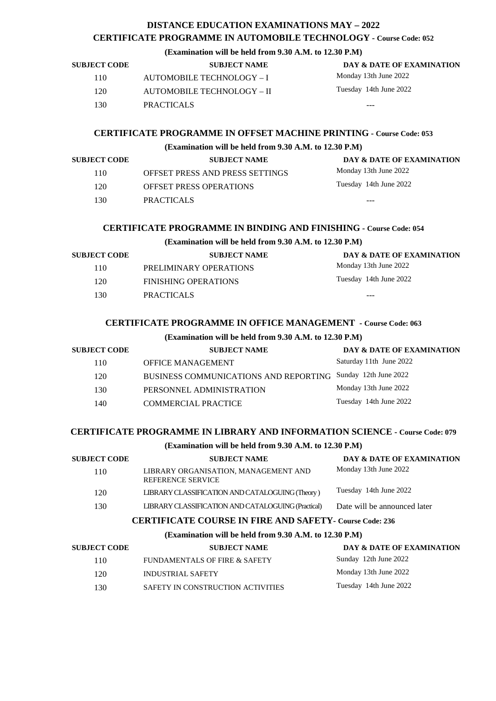# **DISTANCE EDUCATION EXAMINATIONS MAY – 2022 CERTIFICATE PROGRAMME IN AUTOMOBILE TECHNOLOGY - Course Code: 052**

### **(Examination will be held from 9.30 A.M. to 12.30 P.M)**

| <b>SUBJECT CODE</b> | <b>SUBJECT NAME</b>        | DAY & DATE OF EXAMINATION |
|---------------------|----------------------------|---------------------------|
| 110                 | AUTOMOBILE TECHNOLOGY - I  | Monday 13th June 2022     |
| 120                 | AUTOMOBILE TECHNOLOGY - II | Tuesday 14th June 2022    |
| 130                 | <b>PRACTICALS</b>          | ---                       |
|                     |                            |                           |

#### **CERTIFICATE PROGRAMME IN OFFSET MACHINE PRINTING - Course Code: 053**

#### **(Examination will be held from 9.30 A.M. to 12.30 P.M)**

| <b>SUBJECT CODE</b> | <b>SUBJECT NAME</b>             | DAY & DATE OF EXAMINATION |
|---------------------|---------------------------------|---------------------------|
| 110                 | OFFSET PRESS AND PRESS SETTINGS | Monday 13th June 2022     |
| 120                 | <b>OFFSET PRESS OPERATIONS</b>  | Tuesday 14th June 2022    |
| 130                 | <b>PRACTICALS</b>               | ---                       |

## **CERTIFICATE PROGRAMME IN BINDING AND FINISHING - Course Code: 054**

## **(Examination will be held from 9.30 A.M. to 12.30 P.M)**

| <b>SUBJECT CODE</b> | <b>SUBJECT NAME</b>    | DAY & DATE OF EXAMINATION |
|---------------------|------------------------|---------------------------|
| 110                 | PRELIMINARY OPERATIONS | Monday 13th June 2022     |
| 120                 | FINISHING OPERATIONS   | Tuesday 14th June 2022    |
| 130                 | <b>PRACTICALS</b>      | ---                       |
|                     |                        |                           |

## **CERTIFICATE PROGRAMME IN OFFICE MANAGEMENT - Course Code: 063**

#### **(Examination will be held from 9.30 A.M. to 12.30 P.M)**

| <b>SUBJECT CODE</b> | <b>SUBJECT NAME</b>                          | <b>DAY &amp; DATE OF EXAMINATION</b> |
|---------------------|----------------------------------------------|--------------------------------------|
| 110                 | <b>OFFICE MANAGEMENT</b>                     | Saturday 11th June 2022              |
| 120                 | <b>BUSINESS COMMUNICATIONS AND REPORTING</b> | Sunday 12th June 2022                |
| 130                 | PERSONNEL ADMINISTRATION                     | Monday 13th June 2022                |
| 140                 | COMMERCIAL PRACTICE                          | Tuesday 14th June 2022               |

#### **CERTIFICATE PROGRAMME IN LIBRARY AND INFORMATION SCIENCE - Course Code: 079**

## **(Examination will be held from 9.30 A.M. to 12.30 P.M)**

| <b>SUBJECT CODE</b>                                            | <b>SUBJECT NAME</b>                                              | DAY & DATE OF EXAMINATION    |
|----------------------------------------------------------------|------------------------------------------------------------------|------------------------------|
| 110                                                            | LIBRARY ORGANISATION, MANAGEMENT AND<br><b>REFERENCE SERVICE</b> | Monday 13th June 2022        |
| 120                                                            | LIBRARY CLASSIFICATION AND CATALOGUING (Theory)                  | Tuesday 14th June 2022       |
| 130                                                            | LIBRARY CLASSIFICATION AND CATALOGUING (Practical)               | Date will be announced later |
| <b>CERTIFICATE COURSE IN FIRE AND SAFETY- Course Code: 236</b> |                                                                  |                              |

#### **(Examination will be held from 9.30 A.M. to 12.30 P.M)**

| <b>SUBJECT CODE</b> | <b>SUBJECT NAME</b>               | DAY & DATE OF EXAMINATION |
|---------------------|-----------------------------------|---------------------------|
| 110                 | FUNDAMENTALS OF FIRE & SAFETY     | Sunday 12th June 2022     |
| 120                 | INDUSTRIAL SAFETY                 | Monday 13th June 2022     |
| 130                 | SAFETY IN CONSTRUCTION ACTIVITIES | Tuesday 14th June 2022    |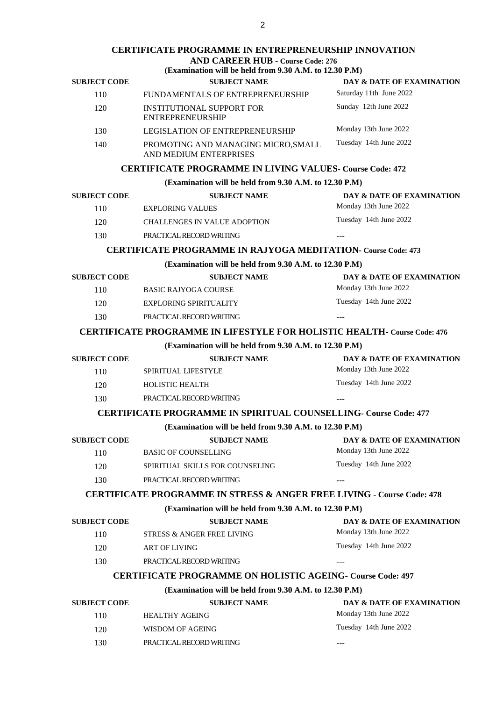#### **CERTIFICATE PROGRAMME IN ENTREPRENEURSHIP INNOVATION AND CAREER HUB - Course Code: 276**

#### **(Examination will be held from 9.30 A.M. to 12.30 P.M)**

| $\mu$ , $\mu$ , $\mu$ , $\mu$ , $\mu$ , $\mu$ , $\mu$ , $\mu$ , $\mu$ , $\mu$ , $\mu$ , $\mu$ , $\mu$ , $\mu$ , $\mu$ , $\mu$ |                                                               |                           |
|-------------------------------------------------------------------------------------------------------------------------------|---------------------------------------------------------------|---------------------------|
| <b>SUBJECT CODE</b>                                                                                                           | <b>SUBJECT NAME</b>                                           | DAY & DATE OF EXAMINATION |
| 110                                                                                                                           | FUNDAMENTALS OF ENTREPRENEURSHIP                              | Saturday 11th June 2022   |
| 120                                                                                                                           | INSTITUTIONAL SUPPORT FOR<br>ENTREPRENEURSHIP                 | Sunday 12th June 2022     |
| 130                                                                                                                           | LEGISLATION OF ENTREPRENEURSHIP                               | Monday 13th June 2022     |
| 140                                                                                                                           | PROMOTING AND MANAGING MICRO, SMALL<br>AND MEDIUM ENTERPRISES | Tuesday 14th June 2022    |

### **CERTIFICATE PROGRAMME IN LIVING VALUES- Course Code: 472**

| (Examination will be held from 9.30 A.M. to 12.30 P.M)                          |                                                                                   |                                      |  |
|---------------------------------------------------------------------------------|-----------------------------------------------------------------------------------|--------------------------------------|--|
| <b>SUBJECT CODE</b>                                                             | <b>SUBJECT NAME</b>                                                               | DAY & DATE OF EXAMINATION            |  |
| 110                                                                             | <b>EXPLORING VALUES</b>                                                           | Monday 13th June 2022                |  |
| 120                                                                             | <b>CHALLENGES IN VALUE ADOPTION</b>                                               | Tuesday 14th June 2022               |  |
| 130                                                                             | PRACTICAL RECORD WRITING                                                          | $---$                                |  |
|                                                                                 | <b>CERTIFICATE PROGRAMME IN RAJYOGA MEDITATION- Course Code: 473</b>              |                                      |  |
|                                                                                 | (Examination will be held from 9.30 A.M. to 12.30 P.M)                            |                                      |  |
| <b>SUBJECT CODE</b>                                                             | <b>SUBJECT NAME</b>                                                               | <b>DAY &amp; DATE OF EXAMINATION</b> |  |
| 110                                                                             | <b>BASIC RAJYOGA COURSE</b>                                                       | Monday 13th June 2022                |  |
| 120                                                                             | <b>EXPLORING SPIRITUALITY</b>                                                     | Tuesday 14th June 2022               |  |
| 130                                                                             | PRACTICAL RECORD WRITING                                                          |                                      |  |
| <b>CERTIFICATE PROGRAMME IN LIFESTYLE FOR HOLISTIC HEALTH- Course Code: 476</b> |                                                                                   |                                      |  |
| (Examination will be held from 9.30 A.M. to 12.30 P.M)                          |                                                                                   |                                      |  |
| <b>SUBJECT CODE</b>                                                             | <b>SUBJECT NAME</b>                                                               | DAY & DATE OF EXAMINATION            |  |
| 110                                                                             | <b>SPIRITUAL LIFESTYLE</b>                                                        | Monday 13th June 2022                |  |
| 120                                                                             | HOLISTIC HEALTH                                                                   | Tuesday 14th June 2022               |  |
| 130                                                                             | PRACTICAL RECORD WRITING                                                          | $- - -$                              |  |
|                                                                                 | <b>CERTIFICATE PROGRAMME IN SPIRITUAL COUNSELLING- Course Code: 477</b>           |                                      |  |
|                                                                                 | (Examination will be held from 9.30 A.M. to 12.30 P.M)                            |                                      |  |
| <b>SUBJECT CODE</b>                                                             | <b>SUBJECT NAME</b>                                                               | DAY & DATE OF EXAMINATION            |  |
| 110                                                                             | <b>BASIC OF COUNSELLING</b>                                                       | Monday 13th June 2022                |  |
| 120                                                                             | SPIRITUAL SKILLS FOR COUNSELING                                                   | Tuesday 14th June 2022               |  |
| 130                                                                             | PRACTICAL RECORD WRITING                                                          |                                      |  |
|                                                                                 | <b>CERTIFICATE PROGRAMME IN STRESS &amp; ANGER FREE LIVING - Course Code: 478</b> |                                      |  |
|                                                                                 | (Examination will be held from 9.30 A.M. to 12.30 P.M)                            |                                      |  |
| <b>SUBJECT CODE</b>                                                             | <b>SUBJECT NAME</b>                                                               | DAY & DATE OF EXAMINATION            |  |
| 110                                                                             | STRESS & ANGER FREE LIVING                                                        | Monday 13th June 2022                |  |
| 120                                                                             | ART OF LIVING                                                                     | Tuesday 14th June 2022               |  |
| 130                                                                             | PRACTICAL RECORD WRITING                                                          |                                      |  |
| <b>CERTIFICATE PROGRAMME ON HOLISTIC AGEING- Course Code: 497</b>               |                                                                                   |                                      |  |
| (Examination will be held from 9.30 A.M. to 12.30 P.M)                          |                                                                                   |                                      |  |
| <b>SUBJECT CODE</b>                                                             | <b>SUBJECT NAME</b>                                                               | DAY & DATE OF EXAMINATION            |  |
| 110                                                                             | <b>HEALTHY AGEING</b>                                                             | Monday 13th June 2022                |  |
| 120                                                                             | <b>WISDOM OF AGEING</b>                                                           | Tuesday 14th June 2022               |  |

130 PRACTICAL RECORD WRITING ---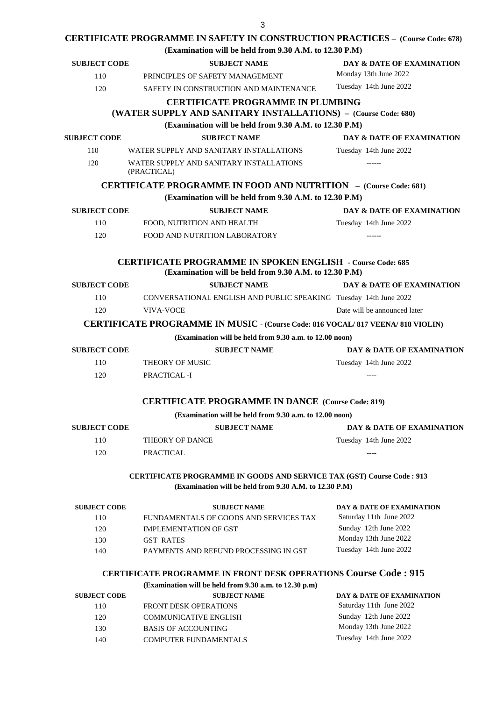# **CERTIFICATE PROGRAMME IN SAFETY IN CONSTRUCTION PRACTICES – (Course Code: 678)**

**(Examination will be held from 9.30 A.M. to 12.30 P.M)**

| <b>SUBJECT CODE</b>                                                                                                                     | <b>SUBJECT NAME</b>                                                                                                              | DAY & DATE OF EXAMINATION                            |  |
|-----------------------------------------------------------------------------------------------------------------------------------------|----------------------------------------------------------------------------------------------------------------------------------|------------------------------------------------------|--|
| 110                                                                                                                                     | PRINCIPLES OF SAFETY MANAGEMENT                                                                                                  | Monday 13th June 2022                                |  |
| 120                                                                                                                                     | SAFETY IN CONSTRUCTION AND MAINTENANCE                                                                                           | Tuesday 14th June 2022                               |  |
|                                                                                                                                         |                                                                                                                                  |                                                      |  |
|                                                                                                                                         | <b>CERTIFICATE PROGRAMME IN PLUMBING</b>                                                                                         |                                                      |  |
|                                                                                                                                         | (WATER SUPPLY AND SANITARY INSTALLATIONS) - (Course Code: 680)<br>(Examination will be held from 9.30 A.M. to 12.30 P.M)         |                                                      |  |
|                                                                                                                                         |                                                                                                                                  |                                                      |  |
| <b>SUBJECT CODE</b>                                                                                                                     | <b>SUBJECT NAME</b>                                                                                                              | DAY & DATE OF EXAMINATION                            |  |
| 110                                                                                                                                     | WATER SUPPLY AND SANITARY INSTALLATIONS                                                                                          | Tuesday 14th June 2022                               |  |
| 120                                                                                                                                     | WATER SUPPLY AND SANITARY INSTALLATIONS<br>(PRACTICAL)                                                                           | $------$                                             |  |
|                                                                                                                                         | <b>CERTIFICATE PROGRAMME IN FOOD AND NUTRITION - (Course Code: 681)</b>                                                          |                                                      |  |
|                                                                                                                                         | (Examination will be held from 9.30 A.M. to 12.30 P.M)                                                                           |                                                      |  |
| <b>SUBJECT CODE</b>                                                                                                                     | <b>SUBJECT NAME</b>                                                                                                              | DAY & DATE OF EXAMINATION                            |  |
| 110                                                                                                                                     | FOOD, NUTRITION AND HEALTH                                                                                                       | Tuesday 14th June 2022                               |  |
| 120                                                                                                                                     | <b>FOOD AND NUTRITION LABORATORY</b>                                                                                             |                                                      |  |
|                                                                                                                                         |                                                                                                                                  |                                                      |  |
|                                                                                                                                         | <b>CERTIFICATE PROGRAMME IN SPOKEN ENGLISH - Course Code: 685</b><br>(Examination will be held from 9.30 A.M. to 12.30 P.M)      |                                                      |  |
| <b>SUBJECT CODE</b>                                                                                                                     | <b>SUBJECT NAME</b>                                                                                                              | DAY & DATE OF EXAMINATION                            |  |
| 110                                                                                                                                     | CONVERSATIONAL ENGLISH AND PUBLIC SPEAKING Tuesday 14th June 2022                                                                |                                                      |  |
| 120                                                                                                                                     | <b>VIVA-VOCE</b>                                                                                                                 | Date will be announced later                         |  |
|                                                                                                                                         | <b>CERTIFICATE PROGRAMME IN MUSIC - (Course Code: 816 VOCAL/ 817 VEENA/ 818 VIOLIN)</b>                                          |                                                      |  |
|                                                                                                                                         | (Examination will be held from 9.30 a.m. to 12.00 noon)                                                                          |                                                      |  |
| <b>SUBJECT CODE</b>                                                                                                                     | <b>SUBJECT NAME</b>                                                                                                              | DAY & DATE OF EXAMINATION                            |  |
|                                                                                                                                         |                                                                                                                                  |                                                      |  |
| 110                                                                                                                                     | THEORY OF MUSIC                                                                                                                  | Tuesday 14th June 2022                               |  |
| 120                                                                                                                                     | PRACTICAL -I                                                                                                                     | $--- -$                                              |  |
|                                                                                                                                         | <b>CERTIFICATE PROGRAMME IN DANCE (Course Code: 819)</b>                                                                         |                                                      |  |
|                                                                                                                                         | (Examination will be held from 9.30 a.m. to 12.00 noon)                                                                          |                                                      |  |
| <b>SUBJECT CODE</b>                                                                                                                     | <b>SUBJECT NAME</b>                                                                                                              | <b>DAY &amp; DATE OF EXAMINATION</b>                 |  |
| 110                                                                                                                                     | <b>THEORY OF DANCE</b>                                                                                                           | Tuesday 14th June 2022                               |  |
| 120                                                                                                                                     | <b>PRACTICAL</b>                                                                                                                 |                                                      |  |
|                                                                                                                                         |                                                                                                                                  |                                                      |  |
| <b>CERTIFICATE PROGRAMME IN GOODS AND SERVICE TAX (GST) Course Code : 913</b><br>(Examination will be held from 9.30 A.M. to 12.30 P.M) |                                                                                                                                  |                                                      |  |
|                                                                                                                                         |                                                                                                                                  |                                                      |  |
| <b>SUBJECT CODE</b><br>110                                                                                                              | <b>SUBJECT NAME</b><br>FUNDAMENTALS OF GOODS AND SERVICES TAX                                                                    | DAY & DATE OF EXAMINATION<br>Saturday 11th June 2022 |  |
| 120                                                                                                                                     | <b>IMPLEMENTATION OF GST</b>                                                                                                     | Sunday 12th June 2022                                |  |
| 130                                                                                                                                     | <b>GST RATES</b>                                                                                                                 | Monday 13th June 2022                                |  |
| 140                                                                                                                                     | PAYMENTS AND REFUND PROCESSING IN GST                                                                                            | Tuesday 14th June 2022                               |  |
|                                                                                                                                         |                                                                                                                                  |                                                      |  |
|                                                                                                                                         | <b>CERTIFICATE PROGRAMME IN FRONT DESK OPERATIONS Course Code: 915</b><br>(Examination will be held from 9.30 a.m. to 12.30 p.m) |                                                      |  |
| <b>SUBJECT CODE</b>                                                                                                                     | <b>SUBJECT NAME</b>                                                                                                              | DAY & DATE OF EXAMINATION                            |  |
| 110                                                                                                                                     | <b>FRONT DESK OPERATIONS</b>                                                                                                     | Saturday 11th June 2022                              |  |
| 120                                                                                                                                     | <b>COMMUNICATIVE ENGLISH</b>                                                                                                     | Sunday 12th June 2022                                |  |
| 130                                                                                                                                     | <b>BASIS OF ACCOUNTING</b>                                                                                                       | Monday 13th June 2022                                |  |
| 140                                                                                                                                     | COMPUTER FUNDAMENTALS                                                                                                            | Tuesday 14th June 2022                               |  |